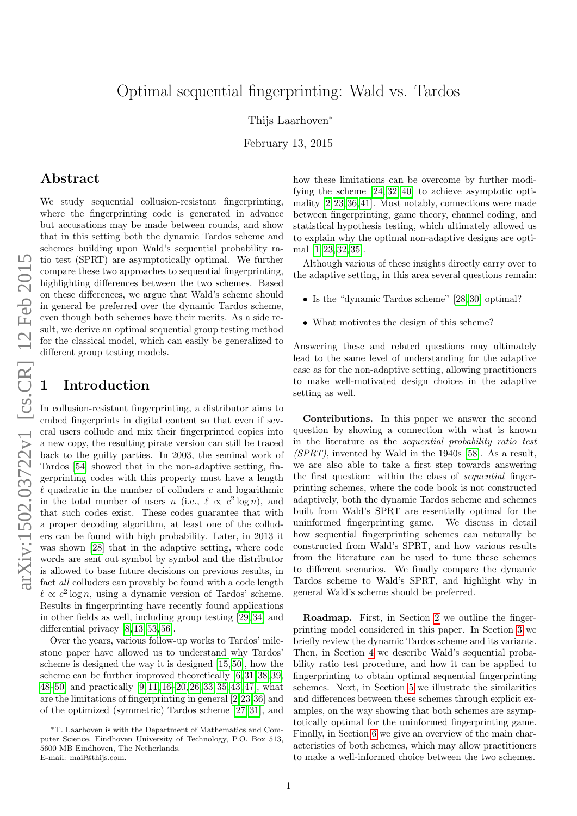# Optimal sequential fingerprinting: Wald vs. Tardos

Thijs Laarhoven<sup>∗</sup>

February 13, 2015

### Abstract

We study sequential collusion-resistant fingerprinting, where the fingerprinting code is generated in advance but accusations may be made between rounds, and show that in this setting both the dynamic Tardos scheme and schemes building upon Wald's sequential probability ratio test (SPRT) are asymptotically optimal. We further compare these two approaches to sequential fingerprinting, highlighting differences between the two schemes. Based on these differences, we argue that Wald's scheme should in general be preferred over the dynamic Tardos scheme, even though both schemes have their merits. As a side result, we derive an optimal sequential group testing method for the classical model, which can easily be generalized to different group testing models.

### **Introduction**

In collusion-resistant fingerprinting, a distributor aims to embed fingerprints in digital content so that even if several users collude and mix their fingerprinted copies into a new copy, the resulting pirate version can still be traced back to the guilty parties. In 2003, the seminal work of Tardos [\[54\]](#page-11-0) showed that in the non-adaptive setting, fingerprinting codes with this property must have a length quadratic in the number of colluders  $c$  and logarithmic in the total number of users n (i.e.,  $\ell \propto c^2 \log n$ ), and that such codes exist. These codes guarantee that with a proper decoding algorithm, at least one of the colluders can be found with high probability. Later, in 2013 it was shown [\[28\]](#page-10-0) that in the adaptive setting, where code words are sent out symbol by symbol and the distributor is allowed to base future decisions on previous results, in fact all colluders can provably be found with a code length  $\ell \propto c^2 \log n$ , using a dynamic version of Tardos' scheme. Results in fingerprinting have recently found applications in other fields as well, including group testing [\[29,](#page-10-1) [34\]](#page-10-2) and differential privacy [\[8,](#page-9-0) [13,](#page-9-1) [53,](#page-11-1) [56\]](#page-11-2).

Over the years, various follow-up works to Tardos' milestone paper have allowed us to understand why Tardos' scheme is designed the way it is designed [\[15,](#page-9-2) [50\]](#page-11-3), how the scheme can be further improved theoretically [\[6,](#page-9-3) [31,](#page-10-3) [38,](#page-10-4) [39,](#page-10-5) [48](#page-10-6)[–50\]](#page-11-3) and practically [\[9,](#page-9-4) [11,](#page-9-5) [16–](#page-9-6)[20,](#page-10-7) [26,](#page-10-8) [33,](#page-10-9) [35,](#page-10-10) [43,](#page-10-11) [47\]](#page-10-12), what are the limitations of fingerprinting in general [\[2,](#page-9-7)[23,](#page-10-13)[36\]](#page-10-14) and of the optimized (symmetric) Tardos scheme [\[27,](#page-10-15) [31\]](#page-10-3), and

how these limitations can be overcome by further modifying the scheme [\[24,](#page-10-16) [32,](#page-10-17) [40\]](#page-10-18) to achieve asymptotic optimality [\[2,](#page-9-7)[23,](#page-10-13)[36,](#page-10-14)[41\]](#page-10-19). Most notably, connections were made between fingerprinting, game theory, channel coding, and statistical hypothesis testing, which ultimately allowed us to explain why the optimal non-adaptive designs are optimal [\[1,](#page-9-8) [23,](#page-10-13) [32,](#page-10-17) [35\]](#page-10-10).

Although various of these insights directly carry over to the adaptive setting, in this area several questions remain:

- Is the "dynamic Tardos scheme" [\[28,](#page-10-0) [30\]](#page-10-20) optimal?
- What motivates the design of this scheme?

Answering these and related questions may ultimately lead to the same level of understanding for the adaptive case as for the non-adaptive setting, allowing practitioners to make well-motivated design choices in the adaptive setting as well.

Contributions. In this paper we answer the second question by showing a connection with what is known in the literature as the sequential probability ratio test  $(SPRT)$ , invented by Wald in the 1940s [\[58\]](#page-11-4). As a result, we are also able to take a first step towards answering the first question: within the class of sequential fingerprinting schemes, where the code book is not constructed adaptively, both the dynamic Tardos scheme and schemes built from Wald's SPRT are essentially optimal for the uninformed fingerprinting game. We discuss in detail how sequential fingerprinting schemes can naturally be constructed from Wald's SPRT, and how various results from the literature can be used to tune these schemes to different scenarios. We finally compare the dynamic Tardos scheme to Wald's SPRT, and highlight why in general Wald's scheme should be preferred.

Roadmap. First, in Section [2](#page-1-0) we outline the fingerprinting model considered in this paper. In Section [3](#page-1-1) we briefly review the dynamic Tardos scheme and its variants. Then, in Section [4](#page-3-0) we describe Wald's sequential probability ratio test procedure, and how it can be applied to fingerprinting to obtain optimal sequential fingerprinting schemes. Next, in Section [5](#page-6-0) we illustrate the similarities and differences between these schemes through explicit examples, on the way showing that both schemes are asymptotically optimal for the uninformed fingerprinting game. Finally, in Section [6](#page-8-0) we give an overview of the main characteristics of both schemes, which may allow practitioners to make a well-informed choice between the two schemes.

<sup>∗</sup>T. Laarhoven is with the Department of Mathematics and Computer Science, Eindhoven University of Technology, P.O. Box 513, 5600 MB Eindhoven, The Netherlands. E-mail: mail@thijs.com.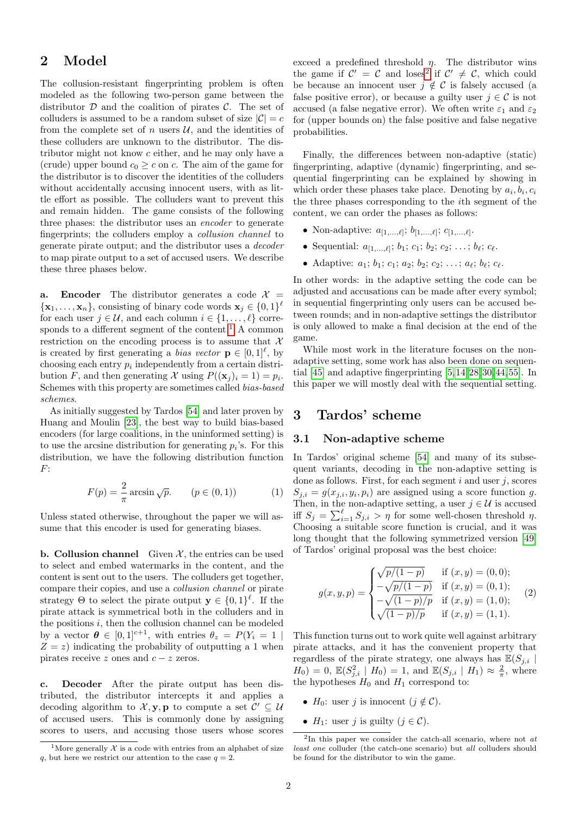# <span id="page-1-0"></span>2 Model

The collusion-resistant fingerprinting problem is often modeled as the following two-person game between the distributor  $\mathcal D$  and the coalition of pirates  $\mathcal C$ . The set of colluders is assumed to be a random subset of size  $|\mathcal{C}| = c$ from the complete set of n users  $\mathcal{U}$ , and the identities of these colluders are unknown to the distributor. The distributor might not know c either, and he may only have a (crude) upper bound  $c_0 \geq c$  on c. The aim of the game for the distributor is to discover the identities of the colluders without accidentally accusing innocent users, with as little effort as possible. The colluders want to prevent this and remain hidden. The game consists of the following three phases: the distributor uses an encoder to generate fingerprints; the colluders employ a collusion channel to generate pirate output; and the distributor uses a decoder to map pirate output to a set of accused users. We describe these three phases below.

a. Encoder The distributor generates a code  $\mathcal{X} =$  $\{\mathbf x_1,\ldots,\mathbf x_n\}$ , consisting of binary code words  $\mathbf x_j \in \{0,1\}^{\ell}$ for each user  $j \in \mathcal{U}$ , and each column  $i \in \{1, \ldots, \ell\}$  corre-sponds to a different segment of the content.<sup>[1](#page-1-2)</sup> A common restriction on the encoding process is to assume that  $\mathcal{X}$ is created by first generating a *bias vector*  $\mathbf{p} \in [0,1]^{\ell}$ , by choosing each entry  $p_i$  independently from a certain distribution F, and then generating X using  $P((\mathbf{x}_j)_i = 1) = p_i$ . Schemes with this property are sometimes called bias-based schemes.

As initially suggested by Tardos [\[54\]](#page-11-0) and later proven by Huang and Moulin [\[23\]](#page-10-13), the best way to build bias-based encoders (for large coalitions, in the uninformed setting) is to use the arcsine distribution for generating  $p_i$ 's. For this distribution, we have the following distribution function  $F$ :

$$
F(p) = \frac{2}{\pi} \arcsin \sqrt{p}. \qquad (p \in (0, 1)) \tag{1}
$$

Unless stated otherwise, throughout the paper we will assume that this encoder is used for generating biases.

**b. Collusion channel** Given  $\mathcal{X}$ , the entries can be used to select and embed watermarks in the content, and the content is sent out to the users. The colluders get together, compare their copies, and use a collusion channel or pirate strategy  $\Theta$  to select the pirate output  $\mathbf{y} \in \{0,1\}^{\ell}$ . If the pirate attack is symmetrical both in the colluders and in the positions  $i$ , then the collusion channel can be modeled by a vector  $\theta \in [0,1]^{c+1}$ , with entries  $\theta_z = P(Y_i = 1)$  $Z = z$ ) indicating the probability of outputting a 1 when pirates receive z ones and  $c - z$  zeros.

c. Decoder After the pirate output has been distributed, the distributor intercepts it and applies a decoding algorithm to  $\mathcal{X}, \mathbf{y}, \mathbf{p}$  to compute a set  $\mathcal{C}' \subseteq \mathcal{U}$ of accused users. This is commonly done by assigning scores to users, and accusing those users whose scores exceed a predefined threshold  $\eta$ . The distributor wins the game if  $C' = C$  and loses<sup>[2](#page-1-3)</sup> if  $C' \neq C$ , which could be because an innocent user  $j \notin \mathcal{C}$  is falsely accused (a false positive error), or because a guilty user  $j \in \mathcal{C}$  is not accused (a false negative error). We often write  $\varepsilon_1$  and  $\varepsilon_2$ for (upper bounds on) the false positive and false negative probabilities.

Finally, the differences between non-adaptive (static) fingerprinting, adaptive (dynamic) fingerprinting, and sequential fingerprinting can be explained by showing in which order these phases take place. Denoting by  $a_i, b_i, c_i$ the three phases corresponding to the ith segment of the content, we can order the phases as follows:

- Non-adaptive:  $a_{[1,...,\ell]}; b_{[1,...,\ell]}; c_{[1,...,\ell]}.$
- Sequential:  $a_{[1,...,\ell]}; b_1; c_1; b_2; c_2; ...; b_{\ell}; c_{\ell}$ .
- Adaptive:  $a_1; b_1; c_1; a_2; b_2; c_2; \ldots; a_{\ell}; b_{\ell}; c_{\ell}.$

In other words: in the adaptive setting the code can be adjusted and accusations can be made after every symbol; in sequential fingerprinting only users can be accused between rounds; and in non-adaptive settings the distributor is only allowed to make a final decision at the end of the game.

While most work in the literature focuses on the nonadaptive setting, some work has also been done on sequential [\[45\]](#page-10-21) and adaptive fingerprinting [\[5,](#page-9-9)[14,](#page-9-10)[28,](#page-10-0)[30,](#page-10-20)[44,](#page-10-22)[55\]](#page-11-5). In this paper we will mostly deal with the sequential setting.

## <span id="page-1-1"></span>3 Tardos' scheme

#### 3.1 Non-adaptive scheme

In Tardos' original scheme [\[54\]](#page-11-0) and many of its subsequent variants, decoding in the non-adaptive setting is done as follows. First, for each segment  $i$  and user  $j$ , scores  $S_{j,i} = g(x_{j,i}, y_i, p_i)$  are assigned using a score function g. Then, in the non-adaptive setting, a user  $j \in \mathcal{U}$  is accused iff  $S_j = \sum_{i=1}^{\ell} S_{j,i} > \eta$  for some well-chosen threshold  $\eta$ . Choosing a suitable score function is crucial, and it was long thought that the following symmetrized version [\[49\]](#page-10-23) of Tardos' original proposal was the best choice:

$$
g(x, y, p) = \begin{cases} \sqrt{p/(1-p)} & \text{if } (x, y) = (0, 0); \\ -\sqrt{p/(1-p)} & \text{if } (x, y) = (0, 1); \\ -\sqrt{(1-p)/p} & \text{if } (x, y) = (1, 0); \\ \sqrt{(1-p)/p} & \text{if } (x, y) = (1, 1). \end{cases}
$$
 (2)

This function turns out to work quite well against arbitrary pirate attacks, and it has the convenient property that regardless of the pirate strategy, one always has  $\mathbb{E}(S_{j,i} | S_{j,i})$  $H_0$ ) = 0,  $\mathbb{E}(S_{j,i}^2 \mid H_0) = 1$ , and  $\mathbb{E}(S_{j,i} \mid H_1) \approx \frac{2}{\pi}$ , where the hypotheses  $H_0$  and  $H_1$  correspond to:

- $H_0$ : user j is innocent  $(j \notin \mathcal{C})$ .
- $H_1$ : user j is guilty  $(j \in \mathcal{C})$ .

<span id="page-1-2"></span><sup>&</sup>lt;sup>1</sup>More generally  $\mathcal X$  is a code with entries from an alphabet of size q, but here we restrict our attention to the case  $q = 2$ .

<span id="page-1-3"></span><sup>&</sup>lt;sup>2</sup>In this paper we consider the catch-all scenario, where not at least one colluder (the catch-one scenario) but all colluders should be found for the distributor to win the game.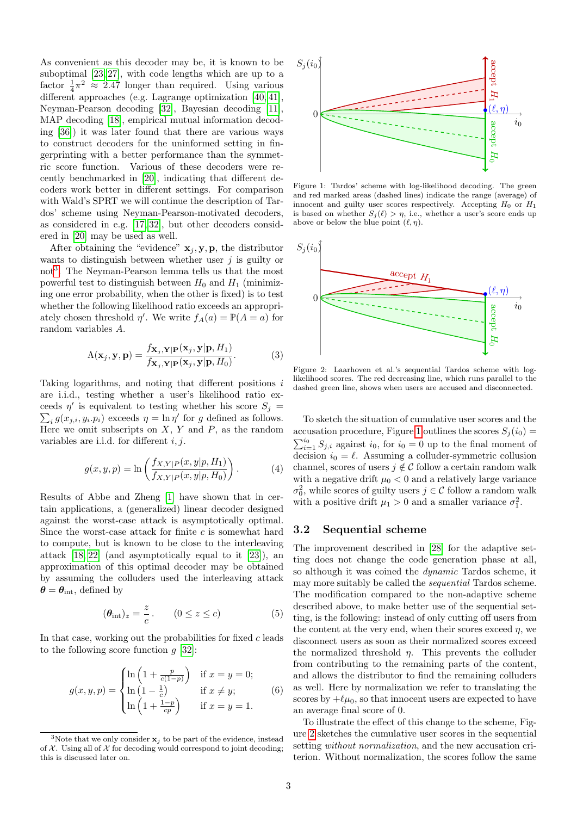As convenient as this decoder may be, it is known to be suboptimal [\[23,](#page-10-13) [27\]](#page-10-15), with code lengths which are up to a factor  $\frac{1}{4}\pi^2 \approx 2.47$  longer than required. Using various different approaches (e.g. Lagrange optimization [\[40,](#page-10-18) [41\]](#page-10-19), Neyman-Pearson decoding [\[32\]](#page-10-17), Bayesian decoding [\[11\]](#page-9-5), MAP decoding [\[18\]](#page-10-24), empirical mutual information decoding [\[36\]](#page-10-14)) it was later found that there are various ways to construct decoders for the uninformed setting in fingerprinting with a better performance than the symmetric score function. Various of these decoders were recently benchmarked in [\[20\]](#page-10-7), indicating that different decoders work better in different settings. For comparison with Wald's SPRT we will continue the description of Tardos' scheme using Neyman-Pearson-motivated decoders, as considered in e.g. [\[17,](#page-10-25) [32\]](#page-10-17), but other decoders considered in [\[20\]](#page-10-7) may be used as well.

After obtaining the "evidence"  $x_j, y, p$ , the distributor wants to distinguish between whether user  $j$  is guilty or not[3](#page-2-0) . The Neyman-Pearson lemma tells us that the most powerful test to distinguish between  $H_0$  and  $H_1$  (minimizing one error probability, when the other is fixed) is to test whether the following likelihood ratio exceeds an appropriately chosen threshold  $\eta'$ . We write  $f_A(a) = \mathbb{P}(A = a)$  for random variables A.

$$
\Lambda(\mathbf{x}_j, \mathbf{y}, \mathbf{p}) = \frac{f_{\mathbf{X}_j, \mathbf{Y} | \mathbf{P}}(\mathbf{x}_j, \mathbf{y} | \mathbf{p}, H_1)}{f_{\mathbf{X}_j, \mathbf{Y} | \mathbf{P}}(\mathbf{x}_j, \mathbf{y} | \mathbf{p}, H_0)}.
$$
(3)

Taking logarithms, and noting that different positions i are i.i.d., testing whether a user's likelihood ratio exceeds  $\eta'$  is equivalent to testing whether his score  $S_j =$  $\sum_i g(x_{j,i}, y_i, p_i)$  exceeds  $\eta = \ln \eta'$  for g defined as follows. Here we omit subscripts on  $X, Y$  and  $P$ , as the random variables are i.i.d. for different  $i, j$ .

$$
g(x, y, p) = \ln\left(\frac{f_{X,Y|P}(x, y|p, H_1)}{f_{X,Y|P}(x, y|p, H_0)}\right).
$$
 (4)

Results of Abbe and Zheng [\[1\]](#page-9-8) have shown that in certain applications, a (generalized) linear decoder designed against the worst-case attack is asymptotically optimal. Since the worst-case attack for finite  $c$  is somewhat hard to compute, but is known to be close to the interleaving attack [\[18,](#page-10-24) [22\]](#page-10-26) (and asymptotically equal to it [\[23\]](#page-10-13)), an approximation of this optimal decoder may be obtained by assuming the colluders used the interleaving attack  $\theta = \theta_{\text{int}}$ , defined by

$$
(\theta_{\rm int})_z = \frac{z}{c}. \qquad (0 \le z \le c)
$$
 (5)

In that case, working out the probabilities for fixed  $c$  leads to the following score function  $g$  [\[32\]](#page-10-17):

$$
g(x, y, p) = \begin{cases} \ln\left(1 + \frac{p}{c(1-p)}\right) & \text{if } x = y = 0; \\ \ln\left(1 - \frac{1}{c}\right) & \text{if } x \neq y; \\ \ln\left(1 + \frac{1-p}{cp}\right) & \text{if } x = y = 1. \end{cases}
$$
(6)

<span id="page-2-1"></span>

Figure 1: Tardos' scheme with log-likelihood decoding. The green and red marked areas (dashed lines) indicate the range (average) of innocent and guilty user scores respectively. Accepting  $H_0$  or  $H_1$ is based on whether  $S_i(\ell) > \eta$ , i.e., whether a user's score ends up above or below the blue point  $(\ell, \eta)$ .

<span id="page-2-2"></span>

Figure 2: Laarhoven et al.'s sequential Tardos scheme with loglikelihood scores. The red decreasing line, which runs parallel to the dashed green line, shows when users are accused and disconnected.

To sketch the situation of cumulative user scores and the accusation procedure, Figure [1](#page-2-1) outlines the scores  $S_i(i_0)$  =  $\sum_{i=1}^{i_0} S_{j,i}$  against  $i_0$ , for  $i_0 = 0$  up to the final moment of decision  $i_0 = \ell$ . Assuming a colluder-symmetric collusion channel, scores of users  $j \notin C$  follow a certain random walk with a negative drift  $\mu_0 < 0$  and a relatively large variance  $\sigma_0^2$ , while scores of guilty users  $j \in \mathcal{C}$  follow a random walk with a positive drift  $\mu_1 > 0$  and a smaller variance  $\sigma_1^2$ .

### 3.2 Sequential scheme

The improvement described in [\[28\]](#page-10-0) for the adaptive setting does not change the code generation phase at all, so although it was coined the dynamic Tardos scheme, it may more suitably be called the sequential Tardos scheme. The modification compared to the non-adaptive scheme described above, to make better use of the sequential setting, is the following: instead of only cutting off users from the content at the very end, when their scores exceed  $\eta$ , we disconnect users as soon as their normalized scores exceed the normalized threshold  $\eta$ . This prevents the colluder from contributing to the remaining parts of the content, and allows the distributor to find the remaining colluders as well. Here by normalization we refer to translating the scores by  $+\ell\mu_0$ , so that innocent users are expected to have an average final score of 0.

<span id="page-2-3"></span>To illustrate the effect of this change to the scheme, Figure [2](#page-2-2) sketches the cumulative user scores in the sequential setting without normalization, and the new accusation criterion. Without normalization, the scores follow the same

<span id="page-2-0"></span><sup>&</sup>lt;sup>3</sup>Note that we only consider  $x_i$  to be part of the evidence, instead of  $X$ . Using all of  $X$  for decoding would correspond to joint decoding; this is discussed later on.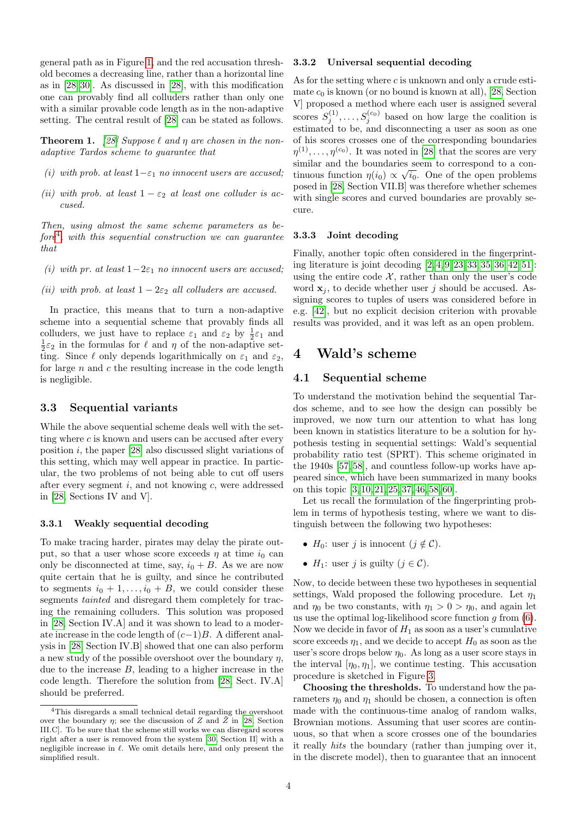general path as in Figure [1,](#page-2-1) and the red accusation threshold becomes a decreasing line, rather than a horizontal line as in [\[28,](#page-10-0) [30\]](#page-10-20). As discussed in [\[28\]](#page-10-0), with this modification one can provably find all colluders rather than only one with a similar provable code length as in the non-adaptive setting. The central result of [\[28\]](#page-10-0) can be stated as follows.

<span id="page-3-2"></span>**Theorem 1.** [\[28\]](#page-10-0) Suppose  $\ell$  and  $\eta$  are chosen in the nonadaptive Tardos scheme to guarantee that

- (i) with prob. at least  $1-\varepsilon_1$  no innocent users are accused;
- (ii) with prob. at least  $1 \varepsilon_2$  at least one colluder is accused.

Then, using almost the same scheme parameters as be- $fore<sup>4</sup>$  $fore<sup>4</sup>$  $fore<sup>4</sup>$ , with this sequential construction we can guarantee that

- (i) with pr. at least  $1-2\varepsilon_1$  no innocent users are accused;
- (ii) with prob. at least  $1 2\varepsilon_2$  all colluders are accused.

In practice, this means that to turn a non-adaptive scheme into a sequential scheme that provably finds all colluders, we just have to replace  $\varepsilon_1$  and  $\varepsilon_2$  by  $\frac{1}{2}\varepsilon_1$  and  $\frac{1}{2}\varepsilon_2$  in the formulas for  $\ell$  and  $\eta$  of the non-adaptive setting. Since  $\ell$  only depends logarithmically on  $\varepsilon_1$  and  $\varepsilon_2$ , for large  $n$  and  $c$  the resulting increase in the code length is negligible.

### 3.3 Sequential variants

While the above sequential scheme deals well with the setting where  $c$  is known and users can be accused after every position  $i$ , the paper [\[28\]](#page-10-0) also discussed slight variations of this setting, which may well appear in practice. In particular, the two problems of not being able to cut off users after every segment  $i$ , and not knowing  $c$ , were addressed in [\[28,](#page-10-0) Sections IV and V].

#### 3.3.1 Weakly sequential decoding

To make tracing harder, pirates may delay the pirate output, so that a user whose score exceeds  $\eta$  at time  $i_0$  can only be disconnected at time, say,  $i_0 + B$ . As we are now quite certain that he is guilty, and since he contributed to segments  $i_0 + 1, \ldots, i_0 + B$ , we could consider these segments *tainted* and disregard them completely for tracing the remaining colluders. This solution was proposed in [\[28,](#page-10-0) Section IV.A] and it was shown to lead to a moderate increase in the code length of  $(c-1)B$ . A different analysis in [\[28,](#page-10-0) Section IV.B] showed that one can also perform a new study of the possible overshoot over the boundary  $n$ , due to the increase  $B$ , leading to a higher increase in the code length. Therefore the solution from [\[28,](#page-10-0) Sect. IV.A] should be preferred.

#### 3.3.2 Universal sequential decoding

As for the setting where  $c$  is unknown and only a crude estimate  $c_0$  is known (or no bound is known at all), [\[28,](#page-10-0) Section V] proposed a method where each user is assigned several scores  $S_j^{(1)}, \ldots, S_j^{(c_0)}$  based on how large the coalition is estimated to be, and disconnecting a user as soon as one of his scores crosses one of the corresponding boundaries  $\eta^{(1)}, \ldots, \eta^{(c_0)}$ . It was noted in [\[28\]](#page-10-0) that the scores are very similar and the boundaries seem to correspond to a continuous function  $\eta(i_0) \propto \sqrt{i_0}$ . One of the open problems posed in [\[28,](#page-10-0) Section VII.B] was therefore whether schemes with single scores and curved boundaries are provably secure.

#### 3.3.3 Joint decoding

Finally, another topic often considered in the fingerprinting literature is joint decoding [\[2,](#page-9-7) [4,](#page-9-11) [9,](#page-9-4) [23,](#page-10-13) [33,](#page-10-9) [35,](#page-10-10) [36,](#page-10-14) [42,](#page-10-27) [51\]](#page-11-6): using the entire code  $\mathcal{X}$ , rather than only the user's code word  $x_i$ , to decide whether user j should be accused. Assigning scores to tuples of users was considered before in e.g. [\[42\]](#page-10-27), but no explicit decision criterion with provable results was provided, and it was left as an open problem.

### <span id="page-3-0"></span>4 Wald's scheme

### 4.1 Sequential scheme

To understand the motivation behind the sequential Tardos scheme, and to see how the design can possibly be improved, we now turn our attention to what has long been known in statistics literature to be a solution for hypothesis testing in sequential settings: Wald's sequential probability ratio test (SPRT). This scheme originated in the 1940s [\[57,](#page-11-7) [58\]](#page-11-4), and countless follow-up works have appeared since, which have been summarized in many books on this topic [\[3,](#page-9-12) [10,](#page-9-13) [21,](#page-10-28) [25,](#page-10-29) [37,](#page-10-30) [46,](#page-10-31) [58,](#page-11-4) [60\]](#page-11-8).

Let us recall the formulation of the fingerprinting problem in terms of hypothesis testing, where we want to distinguish between the following two hypotheses:

- $H_0$ : user j is innocent  $(j \notin \mathcal{C})$ .
- $H_1$ : user j is guilty  $(j \in \mathcal{C})$ .

Now, to decide between these two hypotheses in sequential settings, Wald proposed the following procedure. Let  $\eta_1$ and  $\eta_0$  be two constants, with  $\eta_1 > 0 > \eta_0$ , and again let us use the optimal log-likelihood score function  $g$  from  $(6)$ . Now we decide in favor of  $H_1$  as soon as a user's cumulative score exceeds  $\eta_1$ , and we decide to accept  $H_0$  as soon as the user's score drops below  $\eta_0$ . As long as a user score stays in the interval  $[\eta_0, \eta_1]$ , we continue testing. This accusation procedure is sketched in Figure [3.](#page-4-0)

Choosing the thresholds. To understand how the parameters  $\eta_0$  and  $\eta_1$  should be chosen, a connection is often made with the continuous-time analog of random walks, Brownian motions. Assuming that user scores are continuous, so that when a score crosses one of the boundaries it really hits the boundary (rather than jumping over it, in the discrete model), then to guarantee that an innocent

<span id="page-3-1"></span><sup>4</sup>This disregards a small technical detail regarding the overshoot over the boundary  $\eta$ ; see the discussion of Z and  $\tilde{Z}$  in [\[28,](#page-10-0) Section III.C]. To be sure that the scheme still works we can disregard scores right after a user is removed from the system [\[30,](#page-10-20) Section II] with a negligible increase in  $\ell$ . We omit details here, and only present the simplified result.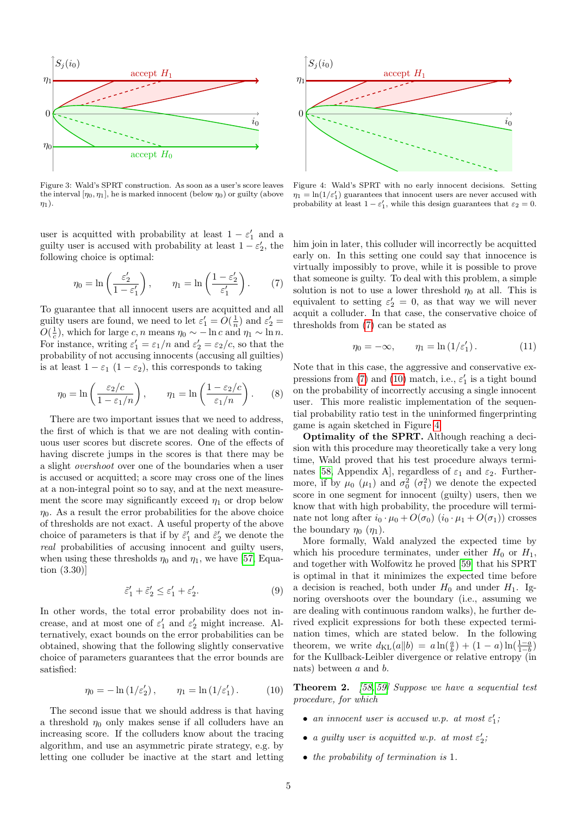<span id="page-4-0"></span>

Figure 3: Wald's SPRT construction. As soon as a user's score leaves the interval  $[\eta_0, \eta_1]$ , he is marked innocent (below  $\eta_0$ ) or guilty (above  $\eta_1$ ).

user is acquitted with probability at least  $1 - \varepsilon_1'$  and a guilty user is accused with probability at least  $1 - \varepsilon_2'$ , the following choice is optimal:

$$
\eta_0 = \ln\left(\frac{\varepsilon_2'}{1 - \varepsilon_1'}\right), \qquad \eta_1 = \ln\left(\frac{1 - \varepsilon_2'}{\varepsilon_1'}\right). \tag{7}
$$

To guarantee that all innocent users are acquitted and all guilty users are found, we need to let  $\varepsilon_1' = O(\frac{1}{n})$  and  $\varepsilon_2' =$  $O(\frac{1}{c})$ , which for large c, n means  $\eta_0 \sim -\ln c$  and  $\eta_1 \sim \ln n$ . For instance, writing  $\varepsilon_1' = \varepsilon_1/n$  and  $\varepsilon_2' = \varepsilon_2/c$ , so that the probability of not accusing innocents (accusing all guilties) is at least  $1 - \varepsilon_1$  ( $1 - \varepsilon_2$ ), this corresponds to taking

$$
\eta_0 = \ln\left(\frac{\varepsilon_2/c}{1 - \varepsilon_1/n}\right), \qquad \eta_1 = \ln\left(\frac{1 - \varepsilon_2/c}{\varepsilon_1/n}\right). \tag{8}
$$

There are two important issues that we need to address, the first of which is that we are not dealing with continuous user scores but discrete scores. One of the effects of having discrete jumps in the scores is that there may be a slight overshoot over one of the boundaries when a user is accused or acquitted; a score may cross one of the lines at a non-integral point so to say, and at the next measurement the score may significantly exceed  $\eta_1$  or drop below  $\eta_0$ . As a result the error probabilities for the above choice of thresholds are not exact. A useful property of the above choice of parameters is that if by  $\tilde{\varepsilon}_1'$  and  $\tilde{\varepsilon}_2'$  we denote the real probabilities of accusing innocent and guilty users, when using these thresholds  $\eta_0$  and  $\eta_1$ , we have [\[57,](#page-11-7) Equation (3.30)]

$$
\tilde{\varepsilon}_1' + \tilde{\varepsilon}_2' \le \varepsilon_1' + \varepsilon_2'.\tag{9}
$$

In other words, the total error probability does not increase, and at most one of  $\varepsilon'_1$  and  $\varepsilon'_2$  might increase. Alternatively, exact bounds on the error probabilities can be obtained, showing that the following slightly conservative choice of parameters guarantees that the error bounds are satisfied:

$$
\eta_0 = -\ln(1/\varepsilon_2'), \qquad \eta_1 = \ln(1/\varepsilon_1'). \tag{10}
$$

The second issue that we should address is that having a threshold  $\eta_0$  only makes sense if all colluders have an increasing score. If the colluders know about the tracing algorithm, and use an asymmetric pirate strategy, e.g. by letting one colluder be inactive at the start and letting

<span id="page-4-3"></span>

Figure 4: Wald's SPRT with no early innocent decisions. Setting  $\eta_1 = \ln(1/\varepsilon_1')$  guarantees that innocent users are never accused with probability at least  $1 - \varepsilon_1'$ , while this design guarantees that  $\varepsilon_2 = 0$ .

<span id="page-4-1"></span>him join in later, this colluder will incorrectly be acquitted early on. In this setting one could say that innocence is virtually impossibly to prove, while it is possible to prove that someone is guilty. To deal with this problem, a simple solution is not to use a lower threshold  $\eta_0$  at all. This is equivalent to setting  $\varepsilon_2' = 0$ , as that way we will never acquit a colluder. In that case, the conservative choice of thresholds from [\(7\)](#page-4-1) can be stated as

$$
\eta_0 = -\infty, \qquad \eta_1 = \ln\left(1/\varepsilon_1'\right). \tag{11}
$$

Note that in this case, the aggressive and conservative ex-pressions from [\(7\)](#page-4-1) and [\(10\)](#page-4-2) match, i.e.,  $\varepsilon_1'$  is a tight bound on the probability of incorrectly accusing a single innocent user. This more realistic implementation of the sequential probability ratio test in the uninformed fingerprinting game is again sketched in Figure [4.](#page-4-3)

Optimality of the SPRT. Although reaching a decision with this procedure may theoretically take a very long time, Wald proved that his test procedure always termi-nates [\[58,](#page-11-4) Appendix A], regardless of  $\varepsilon_1$  and  $\varepsilon_2$ . Furthermore, if by  $\mu_0$  ( $\mu_1$ ) and  $\sigma_0^2$  ( $\sigma_1^2$ ) we denote the expected score in one segment for innocent (guilty) users, then we know that with high probability, the procedure will terminate not long after  $i_0 \cdot \mu_0 + O(\sigma_0)$   $(i_0 \cdot \mu_1 + O(\sigma_1))$  crosses the boundary  $\eta_0$  ( $\eta_1$ ).

More formally, Wald analyzed the expected time by which his procedure terminates, under either  $H_0$  or  $H_1$ , and together with Wolfowitz he proved [\[59\]](#page-11-9) that his SPRT is optimal in that it minimizes the expected time before a decision is reached, both under  $H_0$  and under  $H_1$ . Ignoring overshoots over the boundary (i.e., assuming we are dealing with continuous random walks), he further derived explicit expressions for both these expected termination times, which are stated below. In the following theorem, we write  $d_{\text{KL}}(a||b) = a \ln(\frac{a}{b}) + (1 - a) \ln(\frac{1 - a}{1 - b})$ for the Kullback-Leibler divergence or relative entropy (in nats) between a and b.

<span id="page-4-4"></span><span id="page-4-2"></span>**Theorem 2.** [\[58,](#page-11-4) [59\]](#page-11-9) Suppose we have a sequential test procedure, for which

- an innocent user is accused w.p. at most  $\varepsilon_1'$ ;
- a guilty user is acquitted w.p. at most  $\varepsilon_2'$ ,
- the probability of termination is 1.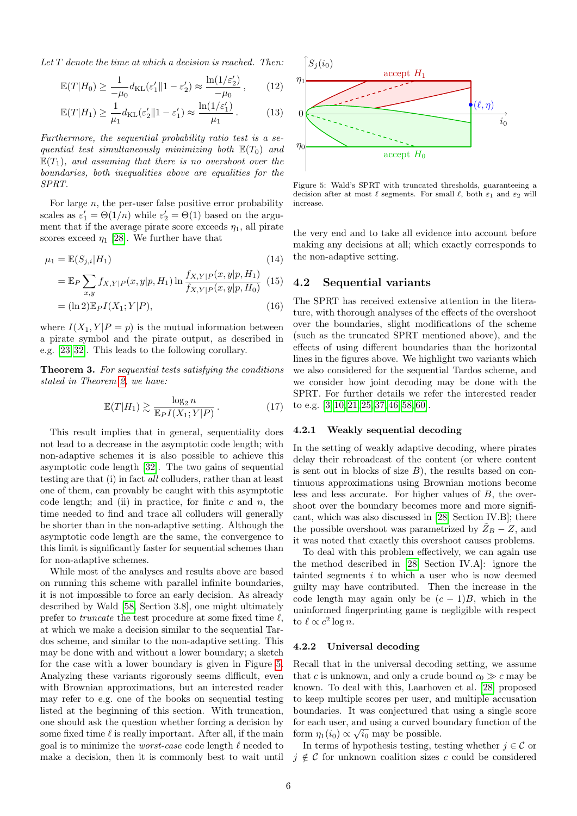Let  $T$  denote the time at which a decision is reached. Then:

$$
\mathbb{E}(T|H_0) \ge \frac{1}{-\mu_0} d_{\text{KL}}(\varepsilon_1' \| 1 - \varepsilon_2') \approx \frac{\ln(1/\varepsilon_2')}{-\mu_0},\qquad(12)
$$

$$
\mathbb{E}(T|H_1) \ge \frac{1}{\mu_1} d_{\text{KL}}(\varepsilon_2' \| 1 - \varepsilon_1') \approx \frac{\ln(1/\varepsilon_1')}{\mu_1}.
$$
 (13)

Furthermore, the sequential probability ratio test is a sequential test simultaneously minimizing both  $\mathbb{E}(T_0)$  and  $\mathbb{E}(T_1)$ , and assuming that there is no overshoot over the boundaries, both inequalities above are equalities for the SPRT.

For large  $n$ , the per-user false positive error probability scales as  $\varepsilon'_1 = \Theta(1/n)$  while  $\varepsilon'_2 = \Theta(1)$  based on the argument that if the average pirate score exceeds  $\eta_1$ , all pirate scores exceed  $\eta_1$  [\[28\]](#page-10-0). We further have that

$$
\mu_1 = \mathbb{E}(S_{j,i}|H_1) \tag{14}
$$

$$
= \mathbb{E}_P \sum_{x,y} f_{X,Y|P}(x,y|p,H_1) \ln \frac{f_{X,Y|P}(x,y|p,H_1)}{f_{X,Y|P}(x,y|p,H_0)} \tag{15}
$$

$$
= (\ln 2) \mathbb{E}_P I(X_1; Y|P), \tag{16}
$$

where  $I(X_1, Y | P = p)$  is the mutual information between a pirate symbol and the pirate output, as described in e.g. [\[23,](#page-10-13) [32\]](#page-10-17). This leads to the following corollary.

Theorem 3. For sequential tests satisfying the conditions stated in Theorem [2,](#page-4-4) we have:

$$
\mathbb{E}(T|H_1) \gtrsim \frac{\log_2 n}{\mathbb{E}_P I(X_1;Y|P)}\,. \tag{17}
$$

This result implies that in general, sequentiality does not lead to a decrease in the asymptotic code length; with non-adaptive schemes it is also possible to achieve this asymptotic code length [\[32\]](#page-10-17). The two gains of sequential testing are that (i) in fact all colluders, rather than at least one of them, can provably be caught with this asymptotic code length; and (ii) in practice, for finite  $c$  and  $n$ , the time needed to find and trace all colluders will generally be shorter than in the non-adaptive setting. Although the asymptotic code length are the same, the convergence to this limit is significantly faster for sequential schemes than for non-adaptive schemes.

While most of the analyses and results above are based on running this scheme with parallel infinite boundaries, it is not impossible to force an early decision. As already described by Wald [\[58,](#page-11-4) Section 3.8], one might ultimately prefer to *truncate* the test procedure at some fixed time  $\ell$ , at which we make a decision similar to the sequential Tardos scheme, and similar to the non-adaptive setting. This may be done with and without a lower boundary; a sketch for the case with a lower boundary is given in Figure [5.](#page-5-0) Analyzing these variants rigorously seems difficult, even with Brownian approximations, but an interested reader may refer to e.g. one of the books on sequential testing listed at the beginning of this section. With truncation, one should ask the question whether forcing a decision by some fixed time  $\ell$  is really important. After all, if the main goal is to minimize the *worst-case* code length  $\ell$  needed to make a decision, then it is commonly best to wait until

<span id="page-5-0"></span>

Figure 5: Wald's SPRT with truncated thresholds, guaranteeing a decision after at most  $\ell$  segments. For small  $\ell$ , both  $\varepsilon_1$  and  $\varepsilon_2$  will increase.

the very end and to take all evidence into account before making any decisions at all; which exactly corresponds to the non-adaptive setting.

#### 4.2 Sequential variants

The SPRT has received extensive attention in the literature, with thorough analyses of the effects of the overshoot over the boundaries, slight modifications of the scheme (such as the truncated SPRT mentioned above), and the effects of using different boundaries than the horizontal lines in the figures above. We highlight two variants which we also considered for the sequential Tardos scheme, and we consider how joint decoding may be done with the SPRT. For further details we refer the interested reader to e.g. [\[3,](#page-9-12) [10,](#page-9-13) [21,](#page-10-28) [25,](#page-10-29) [37,](#page-10-30) [46,](#page-10-31) [58,](#page-11-4) [60\]](#page-11-8).

#### 4.2.1 Weakly sequential decoding

In the setting of weakly adaptive decoding, where pirates delay their rebroadcast of the content (or where content is sent out in blocks of size  $B$ ), the results based on continuous approximations using Brownian motions become less and less accurate. For higher values of B, the overshoot over the boundary becomes more and more significant, which was also discussed in [\[28,](#page-10-0) Section IV.B]; there the possible overshoot was parametrized by  $Z_B - Z$ , and it was noted that exactly this overshoot causes problems.

To deal with this problem effectively, we can again use the method described in [\[28,](#page-10-0) Section IV.A]: ignore the tainted segments  $i$  to which a user who is now deemed guilty may have contributed. Then the increase in the code length may again only be  $(c-1)B$ , which in the uninformed fingerprinting game is negligible with respect to  $\ell \propto c^2 \log n$ .

#### 4.2.2 Universal decoding

Recall that in the universal decoding setting, we assume that c is unknown, and only a crude bound  $c_0 \gg c$  may be known. To deal with this, Laarhoven et al. [\[28\]](#page-10-0) proposed to keep multiple scores per user, and multiple accusation boundaries. It was conjectured that using a single score for each user, and using a curved boundary function of the form  $\eta_1(i_0) \propto \sqrt{i_0}$  may be possible.

In terms of hypothesis testing, testing whether  $j \in \mathcal{C}$  or  $j \notin \mathcal{C}$  for unknown coalition sizes c could be considered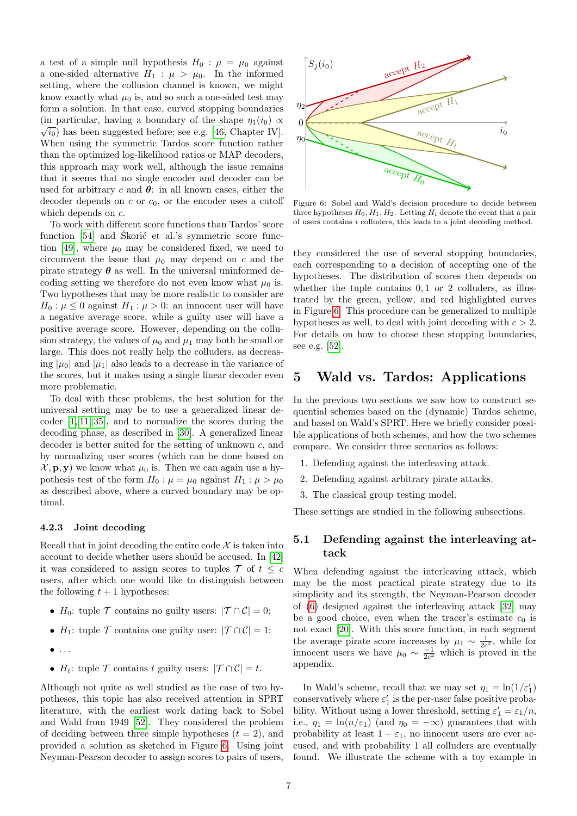a test of a simple null hypothesis  $H_0$ :  $\mu = \mu_0$  against a one-sided alternative  $H_1$ :  $\mu > \mu_0$ . In the informed setting, where the collusion channel is known, we might know exactly what  $\mu_0$  is, and so such a one-sided test may form a solution. In that case, curved stopping boundaries (in particular, having a boundary of the shape  $\eta_1(i_0) \propto$  $\sqrt{i_0}$ ) has been suggested before; see e.g. [\[46,](#page-10-31) Chapter IV]. When using the symmetric Tardos score function rather than the optimized log-likelihood ratios or MAP decoders, this approach may work well, although the issue remains that it seems that no single encoder and decoder can be used for arbitrary c and  $\theta$ : in all known cases, either the decoder depends on  $c$  or  $c_0$ , or the encoder uses a cutoff which depends on  $c$ .

To work with different score functions than Tardos' score function [\[54\]](#page-11-0) and Skorić et al.'s symmetric score func-tion [\[49\]](#page-10-23), where  $\mu_0$  may be considered fixed, we need to circumvent the issue that  $\mu_0$  may depend on c and the pirate strategy  $\theta$  as well. In the universal uninformed decoding setting we therefore do not even know what  $\mu_0$  is. Two hypotheses that may be more realistic to consider are  $H_0: \mu \leq 0$  against  $H_1: \mu > 0$ : an innocent user will have a negative average score, while a guilty user will have a positive average score. However, depending on the collusion strategy, the values of  $\mu_0$  and  $\mu_1$  may both be small or large. This does not really help the colluders, as decreasing  $|\mu_0|$  and  $|\mu_1|$  also leads to a decrease in the variance of the scores, but it makes using a single linear decoder even more problematic.

To deal with these problems, the best solution for the universal setting may be to use a generalized linear decoder [\[1,](#page-9-8) [11,](#page-9-5) [35\]](#page-10-10), and to normalize the scores during the decoding phase, as described in [\[30\]](#page-10-20). A generalized linear decoder is better suited for the setting of unknown c, and by normalizing user scores (which can be done based on  $\mathcal{X}, \mathbf{p}, \mathbf{y}$  we know what  $\mu_0$  is. Then we can again use a hypothesis test of the form  $H_0$ :  $\mu = \mu_0$  against  $H_1$ :  $\mu > \mu_0$ as described above, where a curved boundary may be optimal.

#### 4.2.3 Joint decoding

Recall that in joint decoding the entire code  $\mathcal X$  is taken into account to decide whether users should be accused. In [\[42\]](#page-10-27) it was considered to assign scores to tuples  $\mathcal{T}$  of  $t \leq c$ users, after which one would like to distinguish between the following  $t + 1$  hypotheses:

- $H_0$ : tuple  $\mathcal T$  contains no guilty users:  $|\mathcal T \cap \mathcal C|=0$ ;
- $H_1$ : tuple  $\mathcal T$  contains one guilty user:  $|\mathcal T \cap \mathcal C|=1$ ;
- $\bullet$  ...
- $H_t$ : tuple  $\mathcal T$  contains t guilty users:  $|\mathcal T \cap \mathcal C|=t$ .

Although not quite as well studied as the case of two hypotheses, this topic has also received attention in SPRT literature, with the earliest work dating back to Sobel and Wald from 1949 [\[52\]](#page-11-10). They considered the problem of deciding between three simple hypotheses  $(t = 2)$ , and provided a solution as sketched in Figure [6.](#page-6-1) Using joint Neyman-Pearson decoder to assign scores to pairs of users,

<span id="page-6-1"></span>

Figure 6: Sobel and Wald's decision procedure to decide between three hypotheses  $H_0, H_1, H_2$ . Letting  $H_i$  denote the event that a pair of users contains  $i$  colluders, this leads to a joint decoding method.

they considered the use of several stopping boundaries, each corresponding to a decision of accepting one of the hypotheses. The distribution of scores then depends on whether the tuple contains  $0, 1$  or 2 colluders, as illustrated by the green, yellow, and red highlighted curves in Figure [6.](#page-6-1) This procedure can be generalized to multiple hypotheses as well, to deal with joint decoding with  $c > 2$ . For details on how to choose these stopping boundaries, see e.g. [\[52\]](#page-11-10).

## <span id="page-6-0"></span>5 Wald vs. Tardos: Applications

In the previous two sections we saw how to construct sequential schemes based on the (dynamic) Tardos scheme, and based on Wald's SPRT. Here we briefly consider possible applications of both schemes, and how the two schemes compare. We consider three scenarios as follows:

- 1. Defending against the interleaving attack.
- 2. Defending against arbitrary pirate attacks.
- 3. The classical group testing model.

These settings are studied in the following subsections.

### <span id="page-6-2"></span>5.1 Defending against the interleaving attack

When defending against the interleaving attack, which may be the most practical pirate strategy due to its simplicity and its strength, the Neyman-Pearson decoder of [\(6\)](#page-2-3) designed against the interleaving attack [\[32\]](#page-10-17) may be a good choice, even when the tracer's estimate  $c_0$  is not exact [\[20\]](#page-10-7). With this score function, in each segment the average pirate score increases by  $\mu_1 \sim \frac{1}{2c^2}$ , while for innocent users we have  $\mu_0 \sim \frac{-1}{2c^2}$  which is proved in the appendix.

In Wald's scheme, recall that we may set  $\eta_1 = \ln(1/\varepsilon_1')$ conservatively where  $\varepsilon_1'$  is the per-user false positive probability. Without using a lower threshold, setting  $\varepsilon_1' = \varepsilon_1/n$ , i.e.,  $\eta_1 = \ln(n/\epsilon_1)$  (and  $\eta_0 = -\infty$ ) guarantees that with probability at least  $1 - \varepsilon_1$ , no innocent users are ever accused, and with probability 1 all colluders are eventually found. We illustrate the scheme with a toy example in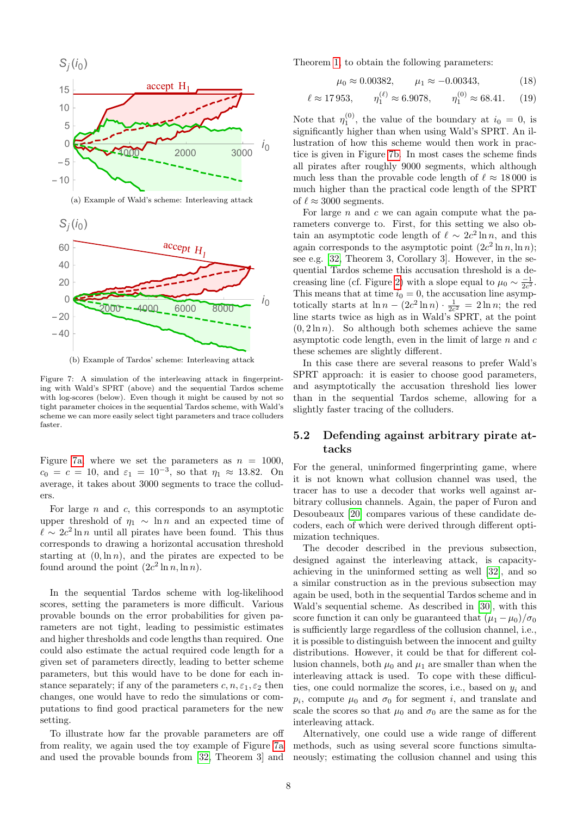<span id="page-7-1"></span><span id="page-7-0"></span>

(b) Example of Tardos' scheme: Interleaving attack

Figure 7: A simulation of the interleaving attack in fingerprinting with Wald's SPRT (above) and the sequential Tardos scheme with log-scores (below). Even though it might be caused by not so tight parameter choices in the sequential Tardos scheme, with Wald's scheme we can more easily select tight parameters and trace colluders faster.

Figure [7a,](#page-7-0) where we set the parameters as  $n = 1000$ ,  $c_0 = c = 10$ , and  $\varepsilon_1 = 10^{-3}$ , so that  $\eta_1 \approx 13.82$ . On average, it takes about 3000 segments to trace the colluders.

For large  $n$  and  $c$ , this corresponds to an asymptotic upper threshold of  $\eta_1 \sim \ln n$  and an expected time of  $\ell \sim 2c^2 \ln n$  until all pirates have been found. This thus corresponds to drawing a horizontal accusation threshold starting at  $(0, \ln n)$ , and the pirates are expected to be found around the point  $(2c^2 \ln n, \ln n)$ .

In the sequential Tardos scheme with log-likelihood scores, setting the parameters is more difficult. Various provable bounds on the error probabilities for given parameters are not tight, leading to pessimistic estimates and higher thresholds and code lengths than required. One could also estimate the actual required code length for a given set of parameters directly, leading to better scheme parameters, but this would have to be done for each instance separately; if any of the parameters  $c, n, \varepsilon_1, \varepsilon_2$  then changes, one would have to redo the simulations or computations to find good practical parameters for the new setting.

To illustrate how far the provable parameters are off from reality, we again used the toy example of Figure [7a](#page-7-0) and used the provable bounds from [\[32,](#page-10-17) Theorem 3] and Theorem [1,](#page-3-2) to obtain the following parameters:

$$
\mu_0 \approx 0.00382, \qquad \mu_1 \approx -0.00343,
$$
\n(18)

$$
\ell \approx 17953
$$
,  $\eta_1^{(\ell)} \approx 6.9078$ ,  $\eta_1^{(0)} \approx 68.41$ . (19)

Note that  $\eta_1^{(0)}$ , the value of the boundary at  $i_0 = 0$ , is significantly higher than when using Wald's SPRT. An illustration of how this scheme would then work in practice is given in Figure [7b.](#page-7-1) In most cases the scheme finds all pirates after roughly 9000 segments, which although much less than the provable code length of  $\ell \approx 18000$  is much higher than the practical code length of the SPRT of  $\ell \approx 3000$  segments.

For large  $n$  and  $c$  we can again compute what the parameters converge to. First, for this setting we also obtain an asymptotic code length of  $\ell \sim 2c^2 \ln n$ , and this again corresponds to the asymptotic point  $(2c^2 \ln n, \ln n)$ ; see e.g. [\[32,](#page-10-17) Theorem 3, Corollary 3]. However, in the sequential Tardos scheme this accusation threshold is a de-creasing line (cf. Figure [2\)](#page-2-2) with a slope equal to  $\mu_0 \sim \frac{-1}{2c^2}$ . This means that at time  $i_0 = 0$ , the accusation line asymptotically starts at  $\ln n - (2c^2 \ln n) \cdot \frac{1}{2c^2} = 2 \ln n$ ; the red line starts twice as high as in Wald's SPRT, at the point  $(0, 2 \ln n)$ . So although both schemes achieve the same asymptotic code length, even in the limit of large  $n$  and  $c$ these schemes are slightly different.

In this case there are several reasons to prefer Wald's SPRT approach: it is easier to choose good parameters, and asymptotically the accusation threshold lies lower than in the sequential Tardos scheme, allowing for a slightly faster tracing of the colluders.

### 5.2 Defending against arbitrary pirate attacks

For the general, uninformed fingerprinting game, where it is not known what collusion channel was used, the tracer has to use a decoder that works well against arbitrary collusion channels. Again, the paper of Furon and Desoubeaux [\[20\]](#page-10-7) compares various of these candidate decoders, each of which were derived through different optimization techniques.

The decoder described in the previous subsection, designed against the interleaving attack, is capacityachieving in the uninformed setting as well [\[32\]](#page-10-17), and so a similar construction as in the previous subsection may again be used, both in the sequential Tardos scheme and in Wald's sequential scheme. As described in [\[30\]](#page-10-20), with this score function it can only be guaranteed that  $(\mu_1 - \mu_0)/\sigma_0$ is sufficiently large regardless of the collusion channel, i.e., it is possible to distinguish between the innocent and guilty distributions. However, it could be that for different collusion channels, both  $\mu_0$  and  $\mu_1$  are smaller than when the interleaving attack is used. To cope with these difficulties, one could normalize the scores, i.e., based on  $y_i$  and  $p_i$ , compute  $\mu_0$  and  $\sigma_0$  for segment i, and translate and scale the scores so that  $\mu_0$  and  $\sigma_0$  are the same as for the interleaving attack.

Alternatively, one could use a wide range of different methods, such as using several score functions simultaneously; estimating the collusion channel and using this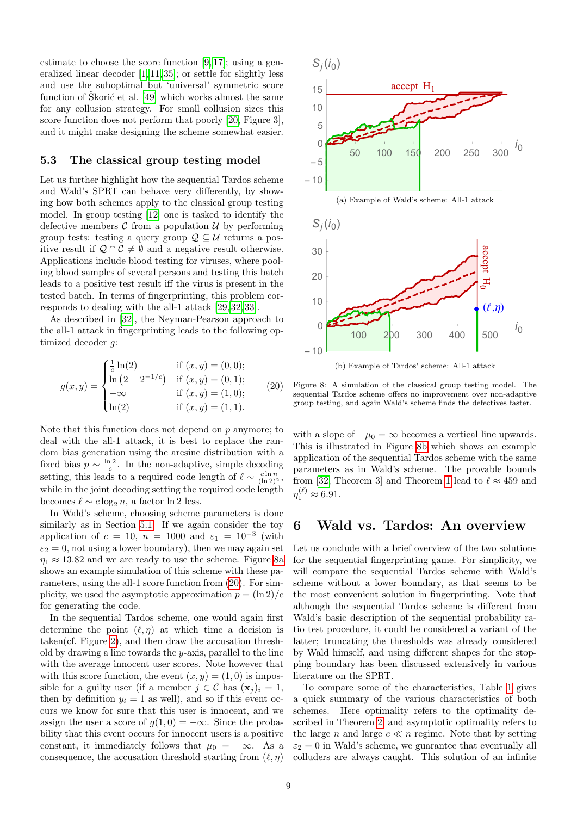estimate to choose the score function [\[9,](#page-9-4) [17\]](#page-10-25); using a generalized linear decoder [\[1,](#page-9-8) [11,](#page-9-5) [35\]](#page-10-10); or settle for slightly less and use the suboptimal but 'universal' symmetric score function of Skorić et al.  $[49]$  which works almost the same for any collusion strategy. For small collusion sizes this score function does not perform that poorly [\[20,](#page-10-7) Figure 3], and it might make designing the scheme somewhat easier.

#### 5.3 The classical group testing model

Let us further highlight how the sequential Tardos scheme and Wald's SPRT can behave very differently, by showing how both schemes apply to the classical group testing model. In group testing [\[12\]](#page-9-14) one is tasked to identify the defective members  $\mathcal C$  from a population  $\mathcal U$  by performing group tests: testing a query group  $\mathcal{Q} \subseteq \mathcal{U}$  returns a positive result if  $Q \cap C \neq \emptyset$  and a negative result otherwise. Applications include blood testing for viruses, where pooling blood samples of several persons and testing this batch leads to a positive test result iff the virus is present in the tested batch. In terms of fingerprinting, this problem corresponds to dealing with the all-1 attack [\[29,](#page-10-1) [32,](#page-10-17) [33\]](#page-10-9).

As described in [\[32\]](#page-10-17), the Neyman-Pearson approach to the all-1 attack in fingerprinting leads to the following optimized decoder g:

$$
g(x,y) = \begin{cases} \frac{1}{c} \ln(2) & \text{if } (x,y) = (0,0); \\ \ln(2 - 2^{-1/c}) & \text{if } (x,y) = (0,1); \\ -\infty & \text{if } (x,y) = (1,0); \\ \ln(2) & \text{if } (x,y) = (1,1). \end{cases}
$$
 (20)

Note that this function does not depend on  $p$  anymore; to deal with the all-1 attack, it is best to replace the random bias generation using the arcsine distribution with a fixed bias  $p \sim \frac{\ln 2}{c}$ . In the non-adaptive, simple decoding setting, this leads to a required code length of  $\ell \sim \frac{c \ln n}{(\ln 2)^2}$ , while in the joint decoding setting the required code length becomes  $\ell \sim c \log_2 n$ , a factor ln 2 less.

In Wald's scheme, choosing scheme parameters is done similarly as in Section [5.1.](#page-6-2) If we again consider the toy application of  $c = 10$ ,  $n = 1000$  and  $\varepsilon_1 = 10^{-3}$  (with  $\varepsilon_2 = 0$ , not using a lower boundary), then we may again set  $\eta_1 \approx 13.82$  and we are ready to use the scheme. Figure [8a](#page-8-1) shows an example simulation of this scheme with these parameters, using the all-1 score function from [\(20\)](#page-8-2). For simplicity, we used the asymptotic approximation  $p = \frac{\ln 2}{c}$ for generating the code.

In the sequential Tardos scheme, one would again first determine the point  $(\ell, \eta)$  at which time a decision is taken(cf. Figure [2\)](#page-2-2), and then draw the accusation threshold by drawing a line towards the  $y$ -axis, parallel to the line with the average innocent user scores. Note however that with this score function, the event  $(x, y) = (1, 0)$  is impossible for a guilty user (if a member  $j \in \mathcal{C}$  has  $(\mathbf{x}_i)_i = 1$ , then by definition  $y_i = 1$  as well), and so if this event occurs we know for sure that this user is innocent, and we assign the user a score of  $q(1, 0) = -\infty$ . Since the probability that this event occurs for innocent users is a positive constant, it immediately follows that  $\mu_0 = -\infty$ . As a consequence, the accusation threshold starting from  $(\ell, \eta)$ 

<span id="page-8-3"></span><span id="page-8-1"></span>

<span id="page-8-2"></span>Figure 8: A simulation of the classical group testing model. The sequential Tardos scheme offers no improvement over non-adaptive group testing, and again Wald's scheme finds the defectives faster.

with a slope of  $-\mu_0 = \infty$  becomes a vertical line upwards. This is illustrated in Figure [8b](#page-8-3) which shows an example application of the sequential Tardos scheme with the same parameters as in Wald's scheme. The provable bounds from [\[32,](#page-10-17) Theorem 3] and Theorem [1](#page-3-2) lead to  $\ell \approx 459$  and  $\eta_1^{(\ell)} \approx 6.91.$ 

### <span id="page-8-0"></span>6 Wald vs. Tardos: An overview

Let us conclude with a brief overview of the two solutions for the sequential fingerprinting game. For simplicity, we will compare the sequential Tardos scheme with Wald's scheme without a lower boundary, as that seems to be the most convenient solution in fingerprinting. Note that although the sequential Tardos scheme is different from Wald's basic description of the sequential probability ratio test procedure, it could be considered a variant of the latter; truncating the thresholds was already considered by Wald himself, and using different shapes for the stopping boundary has been discussed extensively in various literature on the SPRT.

To compare some of the characteristics, Table [1](#page-9-15) gives a quick summary of the various characteristics of both schemes. Here optimality refers to the optimality described in Theorem [2,](#page-4-4) and asymptotic optimality refers to the large n and large  $c \ll n$  regime. Note that by setting  $\varepsilon_2 = 0$  in Wald's scheme, we guarantee that eventually all colluders are always caught. This solution of an infinite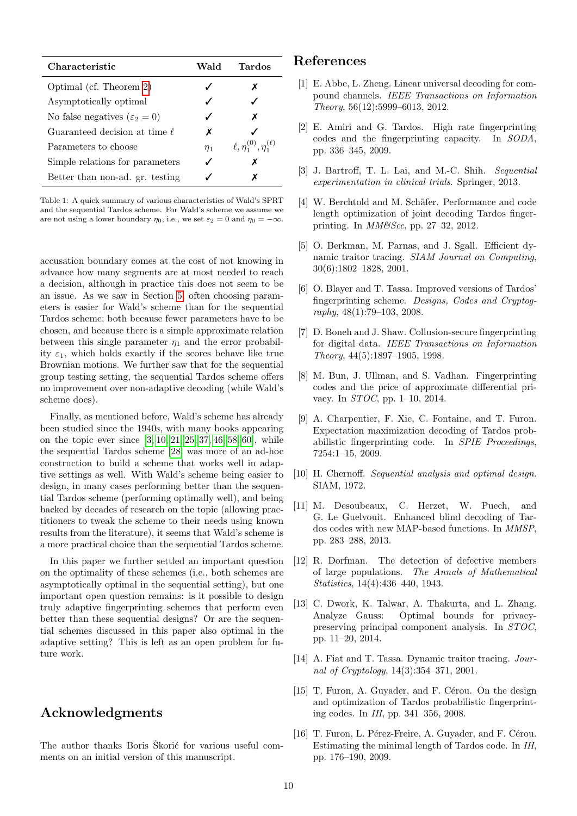<span id="page-9-15"></span>

| Characteristic                             | Wald     | Tardos                                |
|--------------------------------------------|----------|---------------------------------------|
| Optimal (cf. Theorem 2)                    |          | Х                                     |
| Asymptotically optimal                     |          |                                       |
| No false negatives ( $\varepsilon_2 = 0$ ) |          | x                                     |
| Guaranteed decision at time $\ell$         | х        |                                       |
| Parameters to choose                       | $\eta_1$ | $\ell, \eta_1^{(0)}, \eta_1^{(\ell)}$ |
| Simple relations for parameters            |          | х                                     |
| Better than non-ad. gr. testing            |          | x                                     |

Table 1: A quick summary of various characteristics of Wald's SPRT and the sequential Tardos scheme. For Wald's scheme we assume we are not using a lower boundary  $\eta_0$ , i.e., we set  $\varepsilon_2 = 0$  and  $\eta_0 = -\infty$ .

accusation boundary comes at the cost of not knowing in advance how many segments are at most needed to reach a decision, although in practice this does not seem to be an issue. As we saw in Section [5,](#page-6-0) often choosing parameters is easier for Wald's scheme than for the sequential Tardos scheme; both because fewer parameters have to be chosen, and because there is a simple approximate relation between this single parameter  $\eta_1$  and the error probability  $\varepsilon_1$ , which holds exactly if the scores behave like true Brownian motions. We further saw that for the sequential group testing setting, the sequential Tardos scheme offers no improvement over non-adaptive decoding (while Wald's scheme does).

Finally, as mentioned before, Wald's scheme has already been studied since the 1940s, with many books appearing on the topic ever since [\[3,](#page-9-12) [10,](#page-9-13) [21,](#page-10-28) [25,](#page-10-29) [37,](#page-10-30) [46,](#page-10-31) [58,](#page-11-4) [60\]](#page-11-8), while the sequential Tardos scheme [\[28\]](#page-10-0) was more of an ad-hoc construction to build a scheme that works well in adaptive settings as well. With Wald's scheme being easier to design, in many cases performing better than the sequential Tardos scheme (performing optimally well), and being backed by decades of research on the topic (allowing practitioners to tweak the scheme to their needs using known results from the literature), it seems that Wald's scheme is a more practical choice than the sequential Tardos scheme.

In this paper we further settled an important question on the optimality of these schemes (i.e., both schemes are asymptotically optimal in the sequential setting), but one important open question remains: is it possible to design truly adaptive fingerprinting schemes that perform even better than these sequential designs? Or are the sequential schemes discussed in this paper also optimal in the adaptive setting? This is left as an open problem for future work.

# Acknowledgments

The author thanks Boris Škorić for various useful comments on an initial version of this manuscript.

# References

- <span id="page-9-8"></span>[1] E. Abbe, L. Zheng. Linear universal decoding for compound channels. IEEE Transactions on Information Theory, 56(12):5999–6013, 2012.
- <span id="page-9-7"></span>[2] E. Amiri and G. Tardos. High rate fingerprinting codes and the fingerprinting capacity. In SODA, pp. 336–345, 2009.
- <span id="page-9-12"></span>[3] J. Bartroff, T. L. Lai, and M.-C. Shih. Sequential experimentation in clinical trials. Springer, 2013.
- <span id="page-9-11"></span>[4] W. Berchtold and M. Schäfer. Performance and code length optimization of joint decoding Tardos fingerprinting. In MM&Sec, pp. 27–32, 2012.
- <span id="page-9-9"></span>[5] O. Berkman, M. Parnas, and J. Sgall. Efficient dynamic traitor tracing. SIAM Journal on Computing, 30(6):1802–1828, 2001.
- <span id="page-9-3"></span>[6] O. Blayer and T. Tassa. Improved versions of Tardos' fingerprinting scheme. Designs, Codes and Cryptography, 48(1):79–103, 2008.
- [7] D. Boneh and J. Shaw. Collusion-secure fingerprinting for digital data. IEEE Transactions on Information Theory, 44(5):1897–1905, 1998.
- <span id="page-9-0"></span>[8] M. Bun, J. Ullman, and S. Vadhan. Fingerprinting codes and the price of approximate differential privacy. In STOC, pp. 1–10, 2014.
- <span id="page-9-4"></span>[9] A. Charpentier, F. Xie, C. Fontaine, and T. Furon. Expectation maximization decoding of Tardos probabilistic fingerprinting code. In SPIE Proceedings, 7254:1–15, 2009.
- <span id="page-9-13"></span>[10] H. Chernoff. Sequential analysis and optimal design. SIAM, 1972.
- <span id="page-9-5"></span>[11] M. Desoubeaux, C. Herzet, W. Puech, and G. Le Guelvouit. Enhanced blind decoding of Tardos codes with new MAP-based functions. In MMSP, pp. 283–288, 2013.
- <span id="page-9-14"></span>[12] R. Dorfman. The detection of defective members of large populations. The Annals of Mathematical Statistics, 14(4):436–440, 1943.
- <span id="page-9-1"></span>[13] C. Dwork, K. Talwar, A. Thakurta, and L. Zhang. Analyze Gauss: Optimal bounds for privacypreserving principal component analysis. In STOC, pp. 11–20, 2014.
- <span id="page-9-10"></span>[14] A. Fiat and T. Tassa. Dynamic traitor tracing. Journal of Cryptology, 14(3):354–371, 2001.
- <span id="page-9-2"></span>[15] T. Furon, A. Guyader, and F. Cérou. On the design and optimization of Tardos probabilistic fingerprinting codes. In IH, pp. 341–356, 2008.
- <span id="page-9-6"></span>[16] T. Furon, L. Pérez-Freire, A. Guyader, and F. Cérou. Estimating the minimal length of Tardos code. In IH, pp. 176–190, 2009.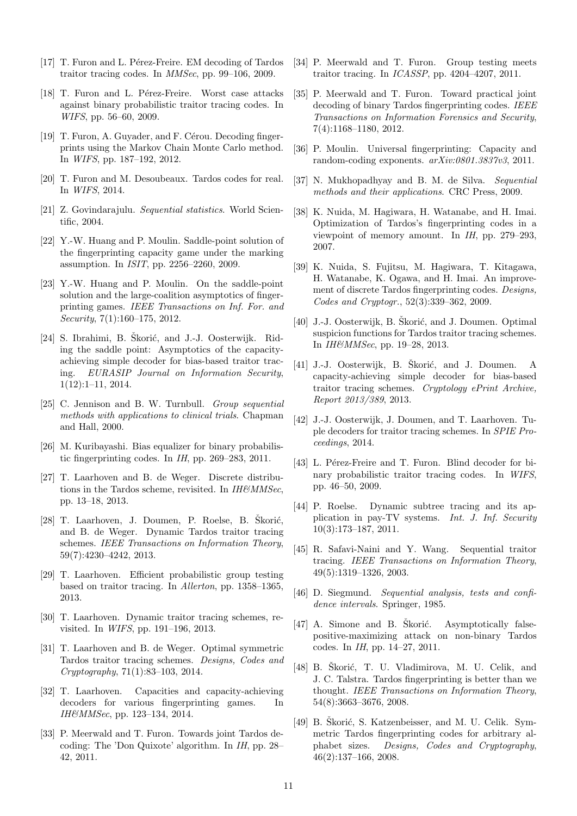- <span id="page-10-25"></span>[17] T. Furon and L. Pérez-Freire. EM decoding of Tardos traitor tracing codes. In MMSec, pp. 99–106, 2009.
- <span id="page-10-24"></span>[18] T. Furon and L. Pérez-Freire. Worst case attacks against binary probabilistic traitor tracing codes. In WIFS, pp. 56–60, 2009.
- [19] T. Furon, A. Guyader, and F. Cérou. Decoding fingerprints using the Markov Chain Monte Carlo method. In WIFS, pp. 187–192, 2012.
- <span id="page-10-7"></span>[20] T. Furon and M. Desoubeaux. Tardos codes for real. In WIFS, 2014.
- <span id="page-10-28"></span>[21] Z. Govindarajulu. Sequential statistics. World Scientific, 2004.
- <span id="page-10-26"></span>[22] Y.-W. Huang and P. Moulin. Saddle-point solution of the fingerprinting capacity game under the marking assumption. In ISIT, pp. 2256–2260, 2009.
- <span id="page-10-13"></span>[23] Y.-W. Huang and P. Moulin. On the saddle-point solution and the large-coalition asymptotics of fingerprinting games. IEEE Transactions on Inf. For. and Security, 7(1):160–175, 2012.
- <span id="page-10-16"></span>[24] S. Ibrahimi, B. Škorić, and J.-J. Oosterwijk. Riding the saddle point: Asymptotics of the capacityachieving simple decoder for bias-based traitor tracing. EURASIP Journal on Information Security, 1(12):1–11, 2014.
- <span id="page-10-29"></span>[25] C. Jennison and B. W. Turnbull. Group sequential methods with applications to clinical trials. Chapman and Hall, 2000.
- <span id="page-10-8"></span>[26] M. Kuribayashi. Bias equalizer for binary probabilistic fingerprinting codes. In IH, pp. 269–283, 2011.
- <span id="page-10-15"></span>[27] T. Laarhoven and B. de Weger. Discrete distributions in the Tardos scheme, revisited. In IH&MMSec, pp. 13–18, 2013.
- <span id="page-10-0"></span> $[28]$  T. Laarhoven, J. Doumen, P. Roelse, B. Škorić, and B. de Weger. Dynamic Tardos traitor tracing schemes. IEEE Transactions on Information Theory, 59(7):4230–4242, 2013.
- <span id="page-10-1"></span>[29] T. Laarhoven. Efficient probabilistic group testing based on traitor tracing. In Allerton, pp. 1358–1365, 2013.
- <span id="page-10-20"></span>[30] T. Laarhoven. Dynamic traitor tracing schemes, revisited. In WIFS, pp. 191–196, 2013.
- <span id="page-10-3"></span>[31] T. Laarhoven and B. de Weger. Optimal symmetric Tardos traitor tracing schemes. Designs, Codes and Cryptography, 71(1):83–103, 2014.
- <span id="page-10-17"></span>[32] T. Laarhoven. Capacities and capacity-achieving decoders for various fingerprinting games. In IH&MMSec, pp. 123–134, 2014.
- <span id="page-10-9"></span>[33] P. Meerwald and T. Furon. Towards joint Tardos decoding: The 'Don Quixote' algorithm. In IH, pp. 28– 42, 2011.
- <span id="page-10-2"></span>[34] P. Meerwald and T. Furon. Group testing meets traitor tracing. In ICASSP, pp. 4204–4207, 2011.
- <span id="page-10-10"></span>[35] P. Meerwald and T. Furon. Toward practical joint decoding of binary Tardos fingerprinting codes. IEEE Transactions on Information Forensics and Security, 7(4):1168–1180, 2012.
- <span id="page-10-14"></span>[36] P. Moulin. Universal fingerprinting: Capacity and random-coding exponents. arXiv:0801.3837v3, 2011.
- <span id="page-10-30"></span>[37] N. Mukhopadhyay and B. M. de Silva. Sequential methods and their applications. CRC Press, 2009.
- <span id="page-10-4"></span>[38] K. Nuida, M. Hagiwara, H. Watanabe, and H. Imai. Optimization of Tardos's fingerprinting codes in a viewpoint of memory amount. In IH, pp. 279–293, 2007.
- <span id="page-10-5"></span>[39] K. Nuida, S. Fujitsu, M. Hagiwara, T. Kitagawa, H. Watanabe, K. Ogawa, and H. Imai. An improvement of discrete Tardos fingerprinting codes. Designs, Codes and Cryptogr., 52(3):339–362, 2009.
- <span id="page-10-18"></span>[40] J.-J. Oosterwijk, B. Skorić, and J. Doumen. Optimal suspicion functions for Tardos traitor tracing schemes. In IH&MMSec, pp. 19–28, 2013.
- <span id="page-10-19"></span> $[41]$  J.-J. Oosterwijk, B. Škorić, and J. Doumen. A capacity-achieving simple decoder for bias-based traitor tracing schemes. Cryptology ePrint Archive, Report 2013/389, 2013.
- <span id="page-10-27"></span>[42] J.-J. Oosterwijk, J. Doumen, and T. Laarhoven. Tuple decoders for traitor tracing schemes. In SPIE Proceedings, 2014.
- <span id="page-10-11"></span>[43] L. Pérez-Freire and T. Furon. Blind decoder for binary probabilistic traitor tracing codes. In WIFS, pp. 46–50, 2009.
- <span id="page-10-22"></span>[44] P. Roelse. Dynamic subtree tracing and its application in pay-TV systems. Int. J. Inf. Security 10(3):173–187, 2011.
- <span id="page-10-21"></span>[45] R. Safavi-Naini and Y. Wang. Sequential traitor tracing. IEEE Transactions on Information Theory, 49(5):1319–1326, 2003.
- <span id="page-10-31"></span>[46] D. Siegmund. Sequential analysis, tests and confidence intervals. Springer, 1985.
- <span id="page-10-12"></span> $[47]$  A. Simone and B. Škorić. Asymptotically falsepositive-maximizing attack on non-binary Tardos codes. In IH, pp. 14–27, 2011.
- <span id="page-10-6"></span>[48] B. Škorić, T. U. Vladimirova, M. U. Celik, and J. C. Talstra. Tardos fingerprinting is better than we thought. IEEE Transactions on Information Theory, 54(8):3663–3676, 2008.
- <span id="page-10-23"></span>[49] B. Škorić, S. Katzenbeisser, and M. U. Celik. Symmetric Tardos fingerprinting codes for arbitrary alphabet sizes. Designs, Codes and Cryptography, 46(2):137–166, 2008.